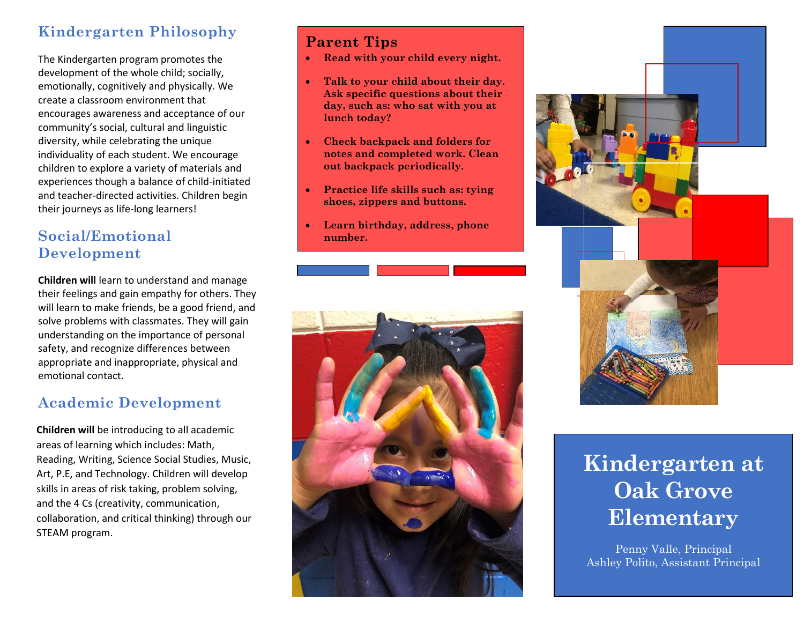# **Kindergarten Philosophy**

The Kindergarten program promotes the development of the whole child; socially, emotionally, cognitively and physically. We create a classroom environment that encourages awareness and acceptance of our community's social, cultural and linguistic diversity, while celebrating the unique individuality of each student. We encourage children to explore a variety of materials and experiences though a balance of child-initiated and teacher-directed activities. Children begin their journeys as life-long learners!

## **Social/Emotional Development**

**Children will** learn to understand and manage their feelings and gain empathy for others. They will learn to make friends, be a good friend, and solve problems with classmates. They will gain understanding on the importance of personal safety, and recognize differences between appropriate and inappropriate, physical and emotional contact.

# **Academic Development**

**Children will** be introducing to all academic areas of learning which includes: Math, Reading, Writing, Science Social Studies, Music, Art, P.E, and Technology. Children will develop skills in areas of risk taking, problem solving, and the 4 Cs (creativity, communication, collaboration, and critical thinking) through our STEAM program.

## **Parent Tips**

- **Read with your child every night.**
- **Talk to your child about their day. Ask specific questions about their day, such as: who sat with you at lunch today?**
- **Check backpack and folders for notes and completed work. Clean out backpack periodically.**
- **Practice life skills such as: tying shoes, zippers and buttons.**
- **Learn birthday, address, phone number.**





# **Kindergarten at Oak Grove Elementary**

Penny Valle, Principal Ashley Polito, Assistant Principal